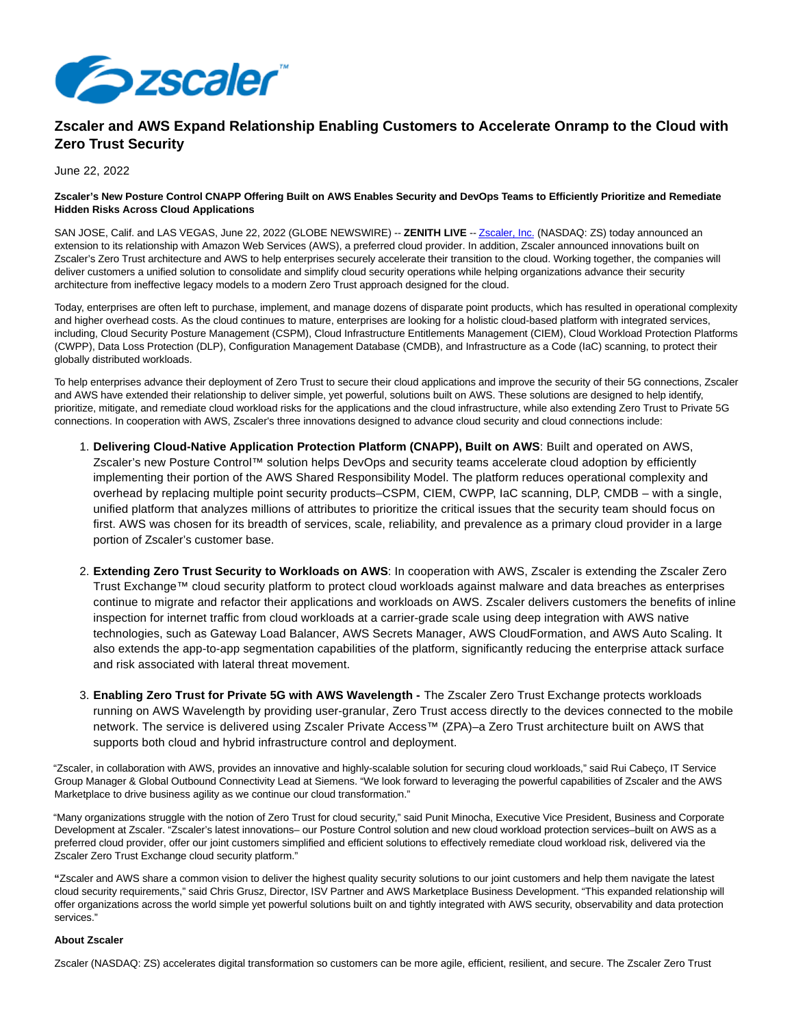

## **Zscaler and AWS Expand Relationship Enabling Customers to Accelerate Onramp to the Cloud with Zero Trust Security**

## June 22, 2022

## **Zscaler's New Posture Control CNAPP Offering Built on AWS Enables Security and DevOps Teams to Efficiently Prioritize and Remediate Hidden Risks Across Cloud Applications**

SAN JOSE, Calif. and LAS VEGAS, June 22, 2022 (GLOBE NEWSWIRE) -- **ZENITH LIVE** -[- Zscaler, Inc. \(](https://www.globenewswire.com/Tracker?data=auryq64aQKQRmZJiM0H9Bz8XfBD1UEATjwzFEgUK8sNr-ZEcMKPOmheoyogr8Qm2c5Zn9bXsEtVjyWMqzMtirg==)NASDAQ: ZS) today announced an extension to its relationship with Amazon Web Services (AWS), a preferred cloud provider. In addition, Zscaler announced innovations built on Zscaler's Zero Trust architecture and AWS to help enterprises securely accelerate their transition to the cloud. Working together, the companies will deliver customers a unified solution to consolidate and simplify cloud security operations while helping organizations advance their security architecture from ineffective legacy models to a modern Zero Trust approach designed for the cloud.

Today, enterprises are often left to purchase, implement, and manage dozens of disparate point products, which has resulted in operational complexity and higher overhead costs. As the cloud continues to mature, enterprises are looking for a holistic cloud-based platform with integrated services, including, Cloud Security Posture Management (CSPM), Cloud Infrastructure Entitlements Management (CIEM), Cloud Workload Protection Platforms (CWPP), Data Loss Protection (DLP), Configuration Management Database (CMDB), and Infrastructure as a Code (IaC) scanning, to protect their globally distributed workloads.

To help enterprises advance their deployment of Zero Trust to secure their cloud applications and improve the security of their 5G connections, Zscaler and AWS have extended their relationship to deliver simple, yet powerful, solutions built on AWS. These solutions are designed to help identify, prioritize, mitigate, and remediate cloud workload risks for the applications and the cloud infrastructure, while also extending Zero Trust to Private 5G connections. In cooperation with AWS, Zscaler's three innovations designed to advance cloud security and cloud connections include:

- **Delivering Cloud-Native Application Protection Platform (CNAPP), Built on AWS**: Built and operated on AWS, 1. Zscaler's new Posture Control™ solution helps DevOps and security teams accelerate cloud adoption by efficiently implementing their portion of the AWS Shared Responsibility Model. The platform reduces operational complexity and overhead by replacing multiple point security products–CSPM, CIEM, CWPP, IaC scanning, DLP, CMDB – with a single, unified platform that analyzes millions of attributes to prioritize the critical issues that the security team should focus on first. AWS was chosen for its breadth of services, scale, reliability, and prevalence as a primary cloud provider in a large portion of Zscaler's customer base.
- **Extending Zero Trust Security to Workloads on AWS**: In cooperation with AWS, Zscaler is extending the Zscaler Zero 2. Trust Exchange™ cloud security platform to protect cloud workloads against malware and data breaches as enterprises continue to migrate and refactor their applications and workloads on AWS. Zscaler delivers customers the benefits of inline inspection for internet traffic from cloud workloads at a carrier-grade scale using deep integration with AWS native technologies, such as Gateway Load Balancer, AWS Secrets Manager, AWS CloudFormation, and AWS Auto Scaling. It also extends the app-to-app segmentation capabilities of the platform, significantly reducing the enterprise attack surface and risk associated with lateral threat movement.
- **Enabling Zero Trust for Private 5G with AWS Wavelength** The Zscaler Zero Trust Exchange protects workloads 3. running on AWS Wavelength by providing user-granular, Zero Trust access directly to the devices connected to the mobile network. The service is delivered using Zscaler Private Access™ (ZPA)–a Zero Trust architecture built on AWS that supports both cloud and hybrid infrastructure control and deployment.

"Zscaler, in collaboration with AWS, provides an innovative and highly-scalable solution for securing cloud workloads," said Rui Cabeço, IT Service Group Manager & Global Outbound Connectivity Lead at Siemens. "We look forward to leveraging the powerful capabilities of Zscaler and the AWS Marketplace to drive business agility as we continue our cloud transformation."

"Many organizations struggle with the notion of Zero Trust for cloud security," said Punit Minocha, Executive Vice President, Business and Corporate Development at Zscaler. "Zscaler's latest innovations– our Posture Control solution and new cloud workload protection services–built on AWS as a preferred cloud provider, offer our joint customers simplified and efficient solutions to effectively remediate cloud workload risk, delivered via the Zscaler Zero Trust Exchange cloud security platform."

**"**Zscaler and AWS share a common vision to deliver the highest quality security solutions to our joint customers and help them navigate the latest cloud security requirements," said Chris Grusz, Director, ISV Partner and AWS Marketplace Business Development. "This expanded relationship will offer organizations across the world simple yet powerful solutions built on and tightly integrated with AWS security, observability and data protection services."

## **About Zscaler**

Zscaler (NASDAQ: ZS) accelerates digital transformation so customers can be more agile, efficient, resilient, and secure. The Zscaler Zero Trust